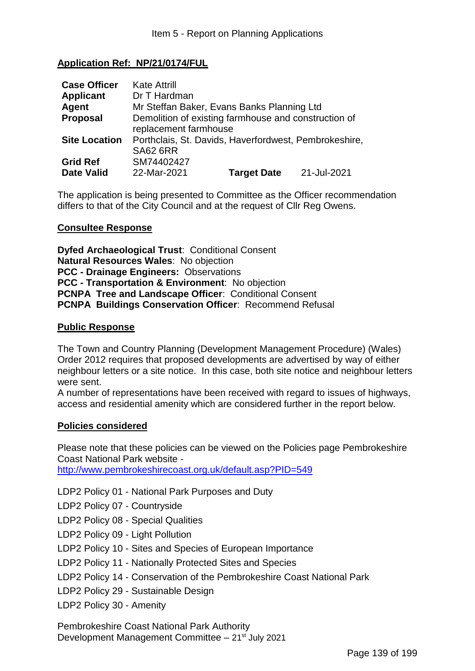# **Application Ref: NP/21/0174/FUL**

| <b>Case Officer</b>  | <b>Kate Attrill</b>                                   |                    |             |
|----------------------|-------------------------------------------------------|--------------------|-------------|
| <b>Applicant</b>     | Dr T Hardman                                          |                    |             |
| Agent                | Mr Steffan Baker, Evans Banks Planning Ltd            |                    |             |
| <b>Proposal</b>      | Demolition of existing farmhouse and construction of  |                    |             |
|                      | replacement farmhouse                                 |                    |             |
| <b>Site Location</b> | Porthclais, St. Davids, Haverfordwest, Pembrokeshire, |                    |             |
|                      | <b>SA62 6RR</b>                                       |                    |             |
| <b>Grid Ref</b>      | SM74402427                                            |                    |             |
| <b>Date Valid</b>    | 22-Mar-2021                                           | <b>Target Date</b> | 21-Jul-2021 |

The application is being presented to Committee as the Officer recommendation differs to that of the City Council and at the request of Cllr Reg Owens.

### **Consultee Response**

**Dyfed Archaeological Trust**: Conditional Consent **Natural Resources Wales**: No objection **PCC - Drainage Engineers:** Observations **PCC - Transportation & Environment**: No objection **PCNPA Tree and Landscape Officer**: Conditional Consent **PCNPA Buildings Conservation Officer**: Recommend Refusal

### **Public Response**

The Town and Country Planning (Development Management Procedure) (Wales) Order 2012 requires that proposed developments are advertised by way of either neighbour letters or a site notice. In this case, both site notice and neighbour letters were sent.

A number of representations have been received with regard to issues of highways, access and residential amenity which are considered further in the report below.

#### **Policies considered**

Please note that these policies can be viewed on the Policies page Pembrokeshire Coast National Park website -

http://www.pembrokeshirecoast.org.uk/default.asp?PID=549

LDP2 Policy 01 - National Park Purposes and Duty

LDP2 Policy 07 - Countryside

LDP2 Policy 08 - Special Qualities

LDP2 Policy 09 - Light Pollution

LDP2 Policy 10 - Sites and Species of European Importance

LDP2 Policy 11 - Nationally Protected Sites and Species

LDP2 Policy 14 - Conservation of the Pembrokeshire Coast National Park

LDP2 Policy 29 - Sustainable Design

LDP2 Policy 30 - Amenity

Pembrokeshire Coast National Park Authority Development Management Committee – 21st July 2021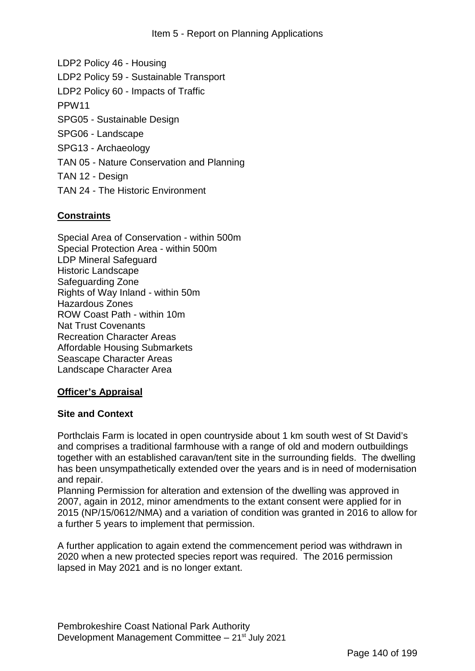LDP2 Policy 46 - Housing LDP2 Policy 59 - Sustainable Transport LDP2 Policy 60 - Impacts of Traffic PPW11 SPG05 - Sustainable Design SPG06 - Landscape SPG13 - Archaeology TAN 05 - Nature Conservation and Planning TAN 12 - Design TAN 24 - The Historic Environment

# **Constraints**

Special Area of Conservation - within 500m Special Protection Area - within 500m LDP Mineral Safeguard Historic Landscape Safeguarding Zone Rights of Way Inland - within 50m Hazardous Zones ROW Coast Path - within 10m Nat Trust Covenants Recreation Character Areas Affordable Housing Submarkets Seascape Character Areas Landscape Character Area

## **Officer's Appraisal**

#### **Site and Context**

Porthclais Farm is located in open countryside about 1 km south west of St David's and comprises a traditional farmhouse with a range of old and modern outbuildings together with an established caravan/tent site in the surrounding fields. The dwelling has been unsympathetically extended over the years and is in need of modernisation and repair.

Planning Permission for alteration and extension of the dwelling was approved in 2007, again in 2012, minor amendments to the extant consent were applied for in 2015 (NP/15/0612/NMA) and a variation of condition was granted in 2016 to allow for a further 5 years to implement that permission.

A further application to again extend the commencement period was withdrawn in 2020 when a new protected species report was required. The 2016 permission lapsed in May 2021 and is no longer extant.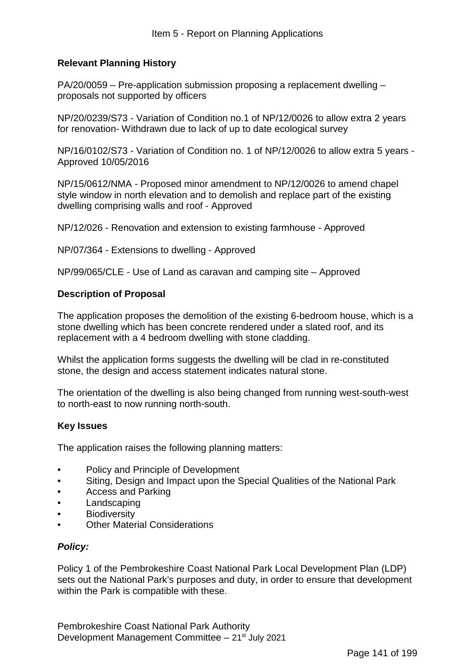# **Relevant Planning History**

PA/20/0059 – Pre-application submission proposing a replacement dwelling – proposals not supported by officers

NP/20/0239/S73 - Variation of Condition no.1 of NP/12/0026 to allow extra 2 years for renovation- Withdrawn due to lack of up to date ecological survey

NP/16/0102/S73 - Variation of Condition no. 1 of NP/12/0026 to allow extra 5 years - Approved 10/05/2016

NP/15/0612/NMA - Proposed minor amendment to NP/12/0026 to amend chapel style window in north elevation and to demolish and replace part of the existing dwelling comprising walls and roof - Approved

NP/12/026 - Renovation and extension to existing farmhouse - Approved

NP/07/364 - Extensions to dwelling - Approved

NP/99/065/CLE - Use of Land as caravan and camping site – Approved

### **Description of Proposal**

The application proposes the demolition of the existing 6-bedroom house, which is a stone dwelling which has been concrete rendered under a slated roof, and its replacement with a 4 bedroom dwelling with stone cladding.

Whilst the application forms suggests the dwelling will be clad in re-constituted stone, the design and access statement indicates natural stone.

The orientation of the dwelling is also being changed from running west-south-west to north-east to now running north-south.

#### **Key Issues**

The application raises the following planning matters:

- Policy and Principle of Development
- Siting, Design and Impact upon the Special Qualities of the National Park
- Access and Parking
- **Landscaping**
- **Biodiversity**
- Other Material Considerations

## *Policy:*

Policy 1 of the Pembrokeshire Coast National Park Local Development Plan (LDP) sets out the National Park's purposes and duty, in order to ensure that development within the Park is compatible with these.

Pembrokeshire Coast National Park Authority Development Management Committee  $-21^{st}$  July 2021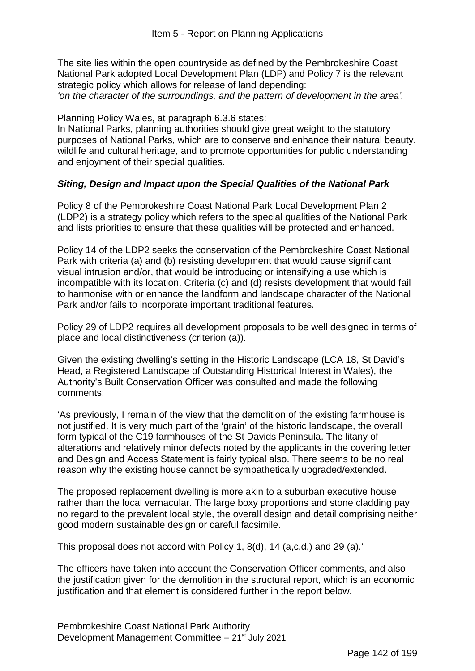The site lies within the open countryside as defined by the Pembrokeshire Coast National Park adopted Local Development Plan (LDP) and Policy 7 is the relevant strategic policy which allows for release of land depending: *'on the character of the surroundings, and the pattern of development in the area'.* 

Planning Policy Wales, at paragraph 6.3.6 states:

In National Parks, planning authorities should give great weight to the statutory purposes of National Parks, which are to conserve and enhance their natural beauty, wildlife and cultural heritage, and to promote opportunities for public understanding and enjoyment of their special qualities.

## *Siting, Design and Impact upon the Special Qualities of the National Park*

Policy 8 of the Pembrokeshire Coast National Park Local Development Plan 2 (LDP2) is a strategy policy which refers to the special qualities of the National Park and lists priorities to ensure that these qualities will be protected and enhanced.

Policy 14 of the LDP2 seeks the conservation of the Pembrokeshire Coast National Park with criteria (a) and (b) resisting development that would cause significant visual intrusion and/or, that would be introducing or intensifying a use which is incompatible with its location. Criteria (c) and (d) resists development that would fail to harmonise with or enhance the landform and landscape character of the National Park and/or fails to incorporate important traditional features.

Policy 29 of LDP2 requires all development proposals to be well designed in terms of place and local distinctiveness (criterion (a)).

Given the existing dwelling's setting in the Historic Landscape (LCA 18, St David's Head, a Registered Landscape of Outstanding Historical Interest in Wales), the Authority's Built Conservation Officer was consulted and made the following comments:

'As previously, I remain of the view that the demolition of the existing farmhouse is not justified. It is very much part of the 'grain' of the historic landscape, the overall form typical of the C19 farmhouses of the St Davids Peninsula. The litany of alterations and relatively minor defects noted by the applicants in the covering letter and Design and Access Statement is fairly typical also. There seems to be no real reason why the existing house cannot be sympathetically upgraded/extended.

The proposed replacement dwelling is more akin to a suburban executive house rather than the local vernacular. The large boxy proportions and stone cladding pay no regard to the prevalent local style, the overall design and detail comprising neither good modern sustainable design or careful facsimile.

This proposal does not accord with Policy 1, 8(d), 14 (a,c,d,) and 29 (a).'

The officers have taken into account the Conservation Officer comments, and also the justification given for the demolition in the structural report, which is an economic justification and that element is considered further in the report below.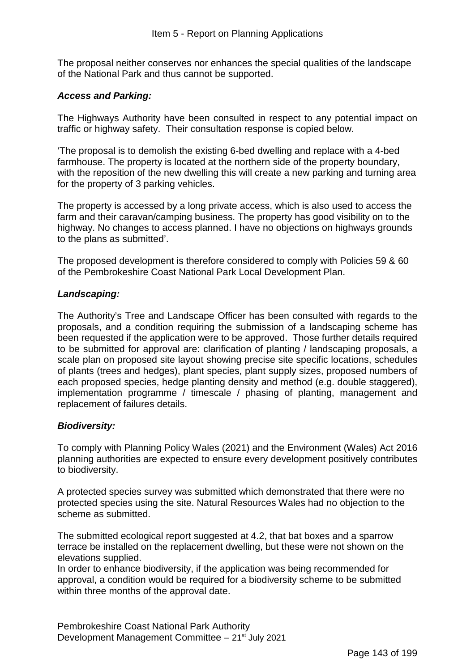The proposal neither conserves nor enhances the special qualities of the landscape of the National Park and thus cannot be supported.

# *Access and Parking:*

The Highways Authority have been consulted in respect to any potential impact on traffic or highway safety. Their consultation response is copied below.

'The proposal is to demolish the existing 6-bed dwelling and replace with a 4-bed farmhouse. The property is located at the northern side of the property boundary, with the reposition of the new dwelling this will create a new parking and turning area for the property of 3 parking vehicles.

The property is accessed by a long private access, which is also used to access the farm and their caravan/camping business. The property has good visibility on to the highway. No changes to access planned. I have no objections on highways grounds to the plans as submitted'.

The proposed development is therefore considered to comply with Policies 59 & 60 of the Pembrokeshire Coast National Park Local Development Plan.

## *Landscaping:*

The Authority's Tree and Landscape Officer has been consulted with regards to the proposals, and a condition requiring the submission of a landscaping scheme has been requested if the application were to be approved. Those further details required to be submitted for approval are: clarification of planting / landscaping proposals, a scale plan on proposed site layout showing precise site specific locations, schedules of plants (trees and hedges), plant species, plant supply sizes, proposed numbers of each proposed species, hedge planting density and method (e.g. double staggered), implementation programme / timescale / phasing of planting, management and replacement of failures details.

## *Biodiversity:*

To comply with Planning Policy Wales (2021) and the Environment (Wales) Act 2016 planning authorities are expected to ensure every development positively contributes to biodiversity.

A protected species survey was submitted which demonstrated that there were no protected species using the site. Natural Resources Wales had no objection to the scheme as submitted.

The submitted ecological report suggested at 4.2, that bat boxes and a sparrow terrace be installed on the replacement dwelling, but these were not shown on the elevations supplied.

In order to enhance biodiversity, if the application was being recommended for approval, a condition would be required for a biodiversity scheme to be submitted within three months of the approval date.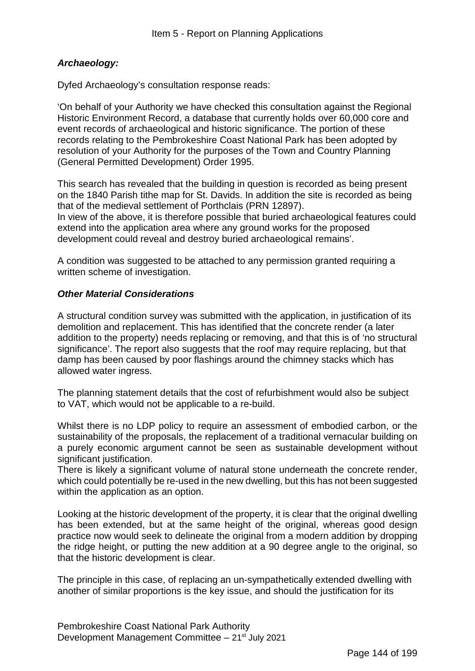## *Archaeology:*

Dyfed Archaeology's consultation response reads:

'On behalf of your Authority we have checked this consultation against the Regional Historic Environment Record, a database that currently holds over 60,000 core and event records of archaeological and historic significance. The portion of these records relating to the Pembrokeshire Coast National Park has been adopted by resolution of your Authority for the purposes of the Town and Country Planning (General Permitted Development) Order 1995.

This search has revealed that the building in question is recorded as being present on the 1840 Parish tithe map for St. Davids. In addition the site is recorded as being that of the medieval settlement of Porthclais (PRN 12897). In view of the above, it is therefore possible that buried archaeological features could extend into the application area where any ground works for the proposed development could reveal and destroy buried archaeological remains'.

A condition was suggested to be attached to any permission granted requiring a written scheme of investigation.

## *Other Material Considerations*

A structural condition survey was submitted with the application, in justification of its demolition and replacement. This has identified that the concrete render (a later addition to the property) needs replacing or removing, and that this is of 'no structural significance'. The report also suggests that the roof may require replacing, but that damp has been caused by poor flashings around the chimney stacks which has allowed water ingress.

The planning statement details that the cost of refurbishment would also be subject to VAT, which would not be applicable to a re-build.

Whilst there is no LDP policy to require an assessment of embodied carbon, or the sustainability of the proposals, the replacement of a traditional vernacular building on a purely economic argument cannot be seen as sustainable development without significant justification.

There is likely a significant volume of natural stone underneath the concrete render, which could potentially be re-used in the new dwelling, but this has not been suggested within the application as an option.

Looking at the historic development of the property, it is clear that the original dwelling has been extended, but at the same height of the original, whereas good design practice now would seek to delineate the original from a modern addition by dropping the ridge height, or putting the new addition at a 90 degree angle to the original, so that the historic development is clear.

The principle in this case, of replacing an un-sympathetically extended dwelling with another of similar proportions is the key issue, and should the justification for its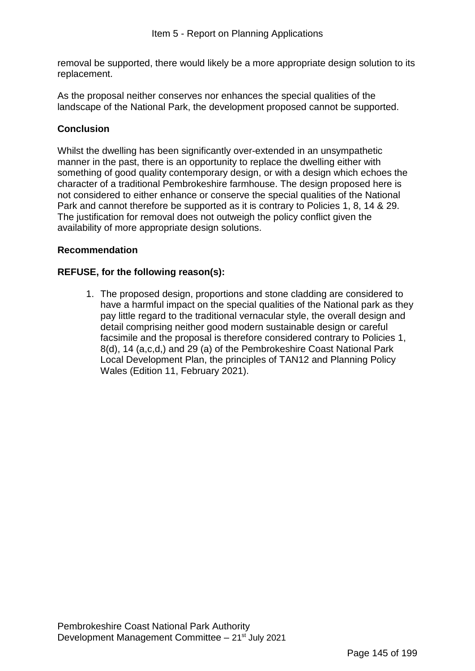removal be supported, there would likely be a more appropriate design solution to its replacement.

As the proposal neither conserves nor enhances the special qualities of the landscape of the National Park, the development proposed cannot be supported.

# **Conclusion**

Whilst the dwelling has been significantly over-extended in an unsympathetic manner in the past, there is an opportunity to replace the dwelling either with something of good quality contemporary design, or with a design which echoes the character of a traditional Pembrokeshire farmhouse. The design proposed here is not considered to either enhance or conserve the special qualities of the National Park and cannot therefore be supported as it is contrary to Policies 1, 8, 14 & 29. The justification for removal does not outweigh the policy conflict given the availability of more appropriate design solutions.

# **Recommendation**

## **REFUSE, for the following reason(s):**

1. The proposed design, proportions and stone cladding are considered to have a harmful impact on the special qualities of the National park as they pay little regard to the traditional vernacular style, the overall design and detail comprising neither good modern sustainable design or careful facsimile and the proposal is therefore considered contrary to Policies 1, 8(d), 14 (a,c,d,) and 29 (a) of the Pembrokeshire Coast National Park Local Development Plan, the principles of TAN12 and Planning Policy Wales (Edition 11, February 2021).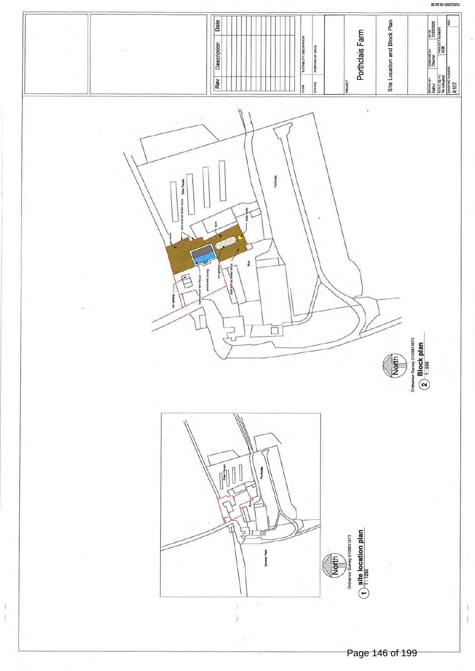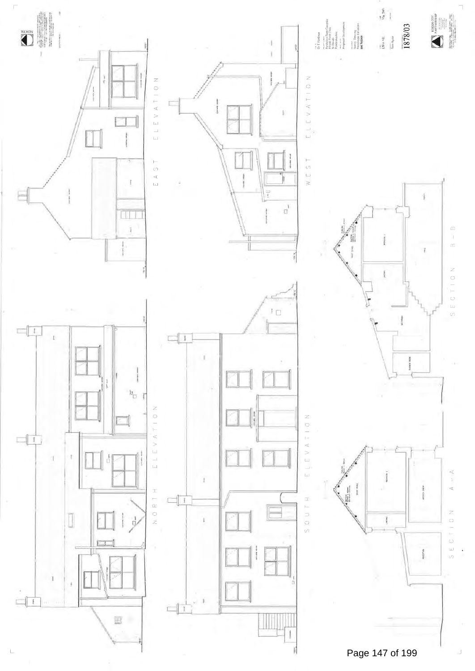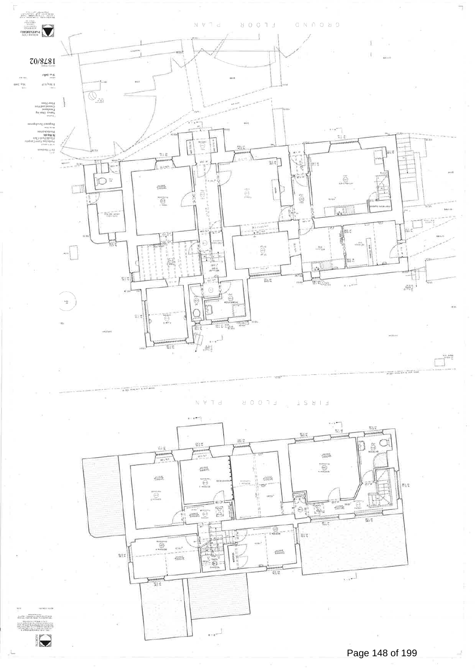

EFOOB  $\begin{array}{ccccc} \pm & S & \Sigma & \bot & \bot \end{array}$  $N$   $V$   $\overline{T}$  d



JE PER LA TARA<br>PURCH PARTIER - PRODUCT<br>PURCHA JULIOSOFIA DE MERCIA **STREET** 

Q

Page 148 of 199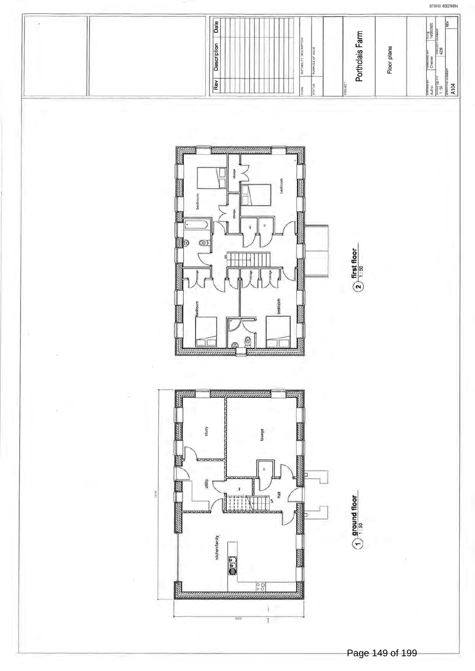

14/05/2020 10/45/23